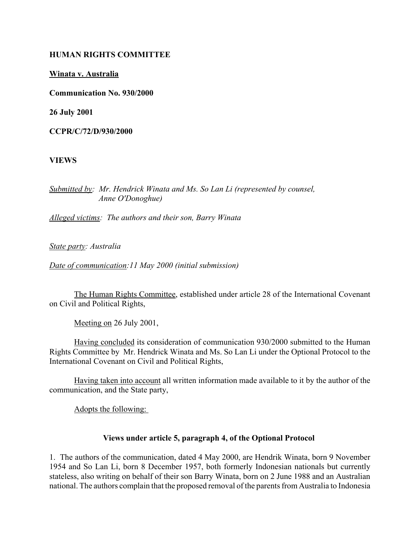### **HUMAN RIGHTS COMMITTEE**

**Winata v. Australia**

**Communication No. 930/2000**

**26 July 2001**

**CCPR/C/72/D/930/2000** 

**VIEWS**

*Submitted by: Mr. Hendrick Winata and Ms. So Lan Li (represented by counsel, Anne O'Donoghue)* 

*Alleged victims: The authors and their son, Barry Winata*

*State party: Australia*

*Date of communication:11 May 2000 (initial submission)*

The Human Rights Committee, established under article 28 of the International Covenant on Civil and Political Rights,

Meeting on 26 July 2001,

Having concluded its consideration of communication 930/2000 submitted to the Human Rights Committee by Mr. Hendrick Winata and Ms. So Lan Li under the Optional Protocol to the International Covenant on Civil and Political Rights,

Having taken into account all written information made available to it by the author of the communication, and the State party,

Adopts the following:

### **Views under article 5, paragraph 4, of the Optional Protocol**

1. The authors of the communication, dated 4 May 2000, are Hendrik Winata, born 9 November 1954 and So Lan Li, born 8 December 1957, both formerly Indonesian nationals but currently stateless, also writing on behalf of their son Barry Winata, born on 2 June 1988 and an Australian national. The authors complain that the proposed removal of the parents from Australia to Indonesia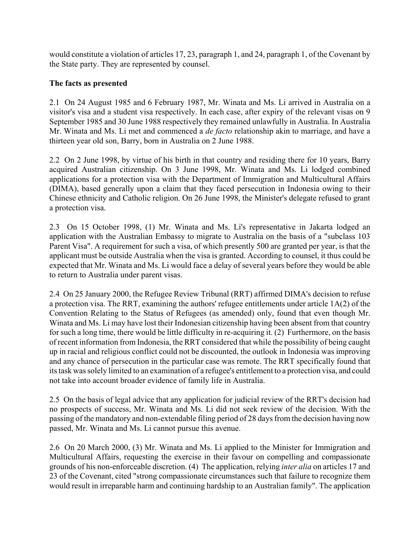would constitute a violation of articles 17, 23, paragraph 1, and 24, paragraph 1, of the Covenant by the State party. They are represented by counsel.

## **The facts as presented**

2.1 On 24 August 1985 and 6 February 1987, Mr. Winata and Ms. Li arrived in Australia on a visitor's visa and a student visa respectively. In each case, after expiry of the relevant visas on 9 September 1985 and 30 June 1988 respectively they remained unlawfully in Australia. In Australia Mr. Winata and Ms. Li met and commenced a *de facto* relationship akin to marriage, and have a thirteen year old son, Barry, born in Australia on 2 June 1988.

2.2 On 2 June 1998, by virtue of his birth in that country and residing there for 10 years, Barry acquired Australian citizenship. On 3 June 1998, Mr. Winata and Ms. Li lodged combined applications for a protection visa with the Department of Immigration and Multicultural Affairs (DIMA), based generally upon a claim that they faced persecution in Indonesia owing to their Chinese ethnicity and Catholic religion. On 26 June 1998, the Minister's delegate refused to grant a protection visa.

2.3 On 15 October 1998, (1) Mr. Winata and Ms. Li's representative in Jakarta lodged an application with the Australian Embassy to migrate to Australia on the basis of a "subclass 103 Parent Visa". A requirement for such a visa, of which presently 500 are granted per year, is that the applicant must be outside Australia when the visa is granted. According to counsel, it thus could be expected that Mr. Winata and Ms. Li would face a delay of several years before they would be able to return to Australia under parent visas.

2.4 On 25 January 2000, the Refugee Review Tribunal (RRT) affirmed DIMA's decision to refuse a protection visa. The RRT, examining the authors' refugee entitlements under article 1A(2) of the Convention Relating to the Status of Refugees (as amended) only, found that even though Mr. Winata and Ms. Li may have lost their Indonesian citizenship having been absent from that country for such a long time, there would be little difficulty in re-acquiring it. (2) Furthermore, on the basis of recent information from Indonesia, the RRT considered that while the possibility of being caught up in racial and religious conflict could not be discounted, the outlook in Indonesia was improving and any chance of persecution in the particular case was remote. The RRT specifically found that its task was solely limited to an examination of a refugee's entitlement to a protection visa, and could not take into account broader evidence of family life in Australia.

2.5 On the basis of legal advice that any application for judicial review of the RRT's decision had no prospects of success, Mr. Winata and Ms. Li did not seek review of the decision. With the passing of the mandatory and non-extendable filing period of 28 days from the decision having now passed, Mr. Winata and Ms. Li cannot pursue this avenue.

2.6 On 20 March 2000, (3) Mr. Winata and Ms. Li applied to the Minister for Immigration and Multicultural Affairs, requesting the exercise in their favour on compelling and compassionate grounds of his non-enforceable discretion. (4) The application, relying *inter alia* on articles 17 and 23 of the Covenant, cited "strong compassionate circumstances such that failure to recognize them would result in irreparable harm and continuing hardship to an Australian family". The application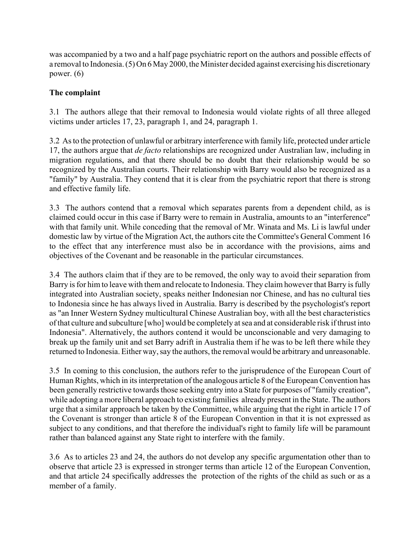was accompanied by a two and a half page psychiatric report on the authors and possible effects of a removal to Indonesia. (5) On 6 May 2000, the Minister decided against exercising his discretionary power. (6)

# **The complaint**

3.1 The authors allege that their removal to Indonesia would violate rights of all three alleged victims under articles 17, 23, paragraph 1, and 24, paragraph 1.

3.2 As to the protection of unlawful or arbitrary interference with family life, protected under article 17, the authors argue that *de facto* relationships are recognized under Australian law, including in migration regulations, and that there should be no doubt that their relationship would be so recognized by the Australian courts. Their relationship with Barry would also be recognized as a "family" by Australia. They contend that it is clear from the psychiatric report that there is strong and effective family life.

3.3 The authors contend that a removal which separates parents from a dependent child, as is claimed could occur in this case if Barry were to remain in Australia, amounts to an "interference" with that family unit. While conceding that the removal of Mr. Winata and Ms. Li is lawful under domestic law by virtue of the Migration Act, the authors cite the Committee's General Comment 16 to the effect that any interference must also be in accordance with the provisions, aims and objectives of the Covenant and be reasonable in the particular circumstances.

3.4 The authors claim that if they are to be removed, the only way to avoid their separation from Barry is for him to leave with them and relocate to Indonesia. They claim however that Barry is fully integrated into Australian society, speaks neither Indonesian nor Chinese, and has no cultural ties to Indonesia since he has always lived in Australia. Barry is described by the psychologist's report as "an Inner Western Sydney multicultural Chinese Australian boy, with all the best characteristics of that culture and subculture [who] would be completely at sea and at considerable risk if thrust into Indonesia". Alternatively, the authors contend it would be unconscionable and very damaging to break up the family unit and set Barry adrift in Australia them if he was to be left there while they returned to Indonesia. Either way, say the authors, the removal would be arbitrary and unreasonable.

3.5 In coming to this conclusion, the authors refer to the jurisprudence of the European Court of Human Rights, which in its interpretation of the analogous article 8 of the European Convention has been generally restrictive towards those seeking entry into a State for purposes of "family creation", while adopting a more liberal approach to existing families already present in the State. The authors urge that a similar approach be taken by the Committee, while arguing that the right in article 17 of the Covenant is stronger than article 8 of the European Convention in that it is not expressed as subject to any conditions, and that therefore the individual's right to family life will be paramount rather than balanced against any State right to interfere with the family.

3.6 As to articles 23 and 24, the authors do not develop any specific argumentation other than to observe that article 23 is expressed in stronger terms than article 12 of the European Convention, and that article 24 specifically addresses the protection of the rights of the child as such or as a member of a family.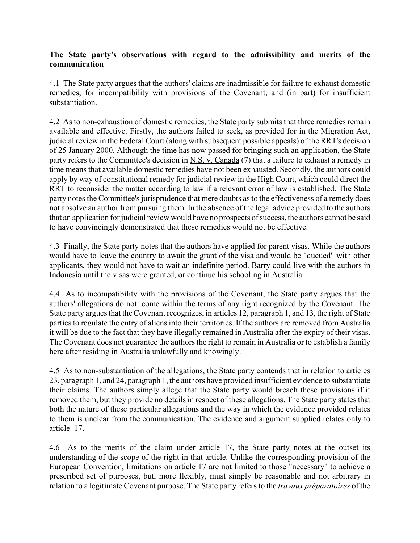### **The State party's observations with regard to the admissibility and merits of the communication**

4.1 The State party argues that the authors' claims are inadmissible for failure to exhaust domestic remedies, for incompatibility with provisions of the Covenant, and (in part) for insufficient substantiation.

4.2 As to non-exhaustion of domestic remedies, the State party submits that three remedies remain available and effective. Firstly, the authors failed to seek, as provided for in the Migration Act, judicial review in the Federal Court (along with subsequent possible appeals) of the RRT's decision of 25 January 2000. Although the time has now passed for bringing such an application, the State party refers to the Committee's decision in N.S. v. Canada (7) that a failure to exhaust a remedy in time means that available domestic remedies have not been exhausted. Secondly, the authors could apply by way of constitutional remedy for judicial review in the High Court, which could direct the RRT to reconsider the matter according to law if a relevant error of law is established. The State party notes the Committee's jurisprudence that mere doubts as to the effectiveness of a remedy does not absolve an author from pursuing them. In the absence of the legal advice provided to the authors that an application for judicial review would have no prospects of success, the authors cannot be said to have convincingly demonstrated that these remedies would not be effective.

4.3 Finally, the State party notes that the authors have applied for parent visas. While the authors would have to leave the country to await the grant of the visa and would be "queued" with other applicants, they would not have to wait an indefinite period. Barry could live with the authors in Indonesia until the visas were granted, or continue his schooling in Australia.

4.4 As to incompatibility with the provisions of the Covenant, the State party argues that the authors' allegations do not come within the terms of any right recognized by the Covenant. The State party argues that the Covenant recognizes, in articles 12, paragraph 1, and 13, the right of State parties to regulate the entry of aliens into their territories. If the authors are removed from Australia it will be due to the fact that they have illegally remained in Australia after the expiry of their visas. The Covenant does not guarantee the authors the right to remain in Australia or to establish a family here after residing in Australia unlawfully and knowingly.

4.5 As to non-substantiation of the allegations, the State party contends that in relation to articles 23, paragraph 1, and 24, paragraph 1, the authors have provided insufficient evidence to substantiate their claims. The authors simply allege that the State party would breach these provisions if it removed them, but they provide no details in respect of these allegations. The State party states that both the nature of these particular allegations and the way in which the evidence provided relates to them is unclear from the communication. The evidence and argument supplied relates only to article 17.

4.6 As to the merits of the claim under article 17, the State party notes at the outset its understanding of the scope of the right in that article. Unlike the corresponding provision of the European Convention, limitations on article 17 are not limited to those "necessary" to achieve a prescribed set of purposes, but, more flexibly, must simply be reasonable and not arbitrary in relation to a legitimate Covenant purpose. The State party refers to the *travaux préparatoires* of the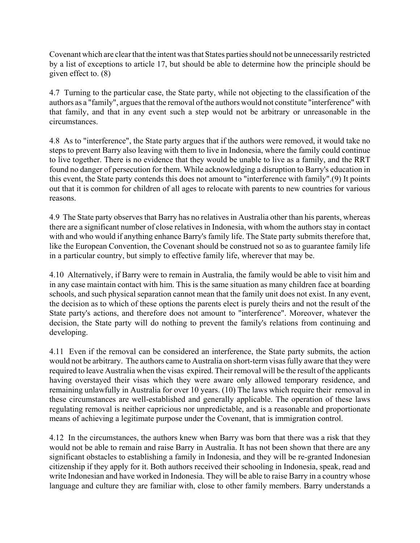Covenant which are clear that the intent was that States parties should not be unnecessarily restricted by a list of exceptions to article 17, but should be able to determine how the principle should be given effect to. (8)

4.7 Turning to the particular case, the State party, while not objecting to the classification of the authors as a "family", argues that the removal of the authors would not constitute "interference" with that family, and that in any event such a step would not be arbitrary or unreasonable in the circumstances.

4.8 As to "interference", the State party argues that if the authors were removed, it would take no steps to prevent Barry also leaving with them to live in Indonesia, where the family could continue to live together. There is no evidence that they would be unable to live as a family, and the RRT found no danger of persecution for them. While acknowledging a disruption to Barry's education in this event, the State party contends this does not amount to "interference with family".(9) It points out that it is common for children of all ages to relocate with parents to new countries for various reasons.

4.9 The State party observes that Barry has no relatives in Australia other than his parents, whereas there are a significant number of close relatives in Indonesia, with whom the authors stay in contact with and who would if anything enhance Barry's family life. The State party submits therefore that, like the European Convention, the Covenant should be construed not so as to guarantee family life in a particular country, but simply to effective family life, wherever that may be.

4.10 Alternatively, if Barry were to remain in Australia, the family would be able to visit him and in any case maintain contact with him. This is the same situation as many children face at boarding schools, and such physical separation cannot mean that the family unit does not exist. In any event, the decision as to which of these options the parents elect is purely theirs and not the result of the State party's actions, and therefore does not amount to "interference". Moreover, whatever the decision, the State party will do nothing to prevent the family's relations from continuing and developing.

4.11 Even if the removal can be considered an interference, the State party submits, the action would not be arbitrary. The authors came to Australia on short-term visas fully aware that they were required to leave Australia when the visas expired. Their removal will be the result of the applicants having overstayed their visas which they were aware only allowed temporary residence, and remaining unlawfully in Australia for over 10 years. (10) The laws which require their removal in these circumstances are well-established and generally applicable. The operation of these laws regulating removal is neither capricious nor unpredictable, and is a reasonable and proportionate means of achieving a legitimate purpose under the Covenant, that is immigration control.

4.12 In the circumstances, the authors knew when Barry was born that there was a risk that they would not be able to remain and raise Barry in Australia. It has not been shown that there are any significant obstacles to establishing a family in Indonesia, and they will be re-granted Indonesian citizenship if they apply for it. Both authors received their schooling in Indonesia, speak, read and write Indonesian and have worked in Indonesia. They will be able to raise Barry in a country whose language and culture they are familiar with, close to other family members. Barry understands a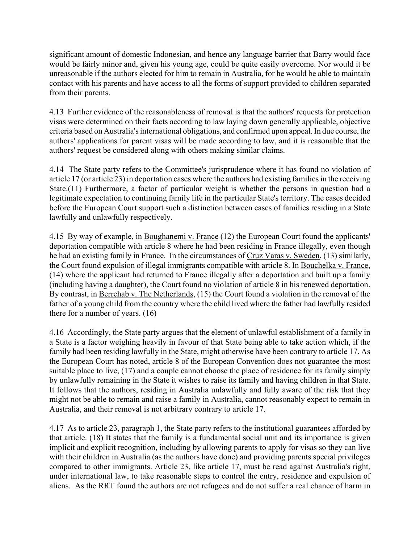significant amount of domestic Indonesian, and hence any language barrier that Barry would face would be fairly minor and, given his young age, could be quite easily overcome. Nor would it be unreasonable if the authors elected for him to remain in Australia, for he would be able to maintain contact with his parents and have access to all the forms of support provided to children separated from their parents.

4.13 Further evidence of the reasonableness of removal is that the authors' requests for protection visas were determined on their facts according to law laying down generally applicable, objective criteria based on Australia's international obligations, and confirmed upon appeal. In due course, the authors' applications for parent visas will be made according to law, and it is reasonable that the authors' request be considered along with others making similar claims.

4.14 The State party refers to the Committee's jurisprudence where it has found no violation of article 17 (or article 23) in deportation cases where the authors had existing families in the receiving State.(11) Furthermore, a factor of particular weight is whether the persons in question had a legitimate expectation to continuing family life in the particular State's territory. The cases decided before the European Court support such a distinction between cases of families residing in a State lawfully and unlawfully respectively.

4.15 By way of example, in Boughanemi v. France (12) the European Court found the applicants' deportation compatible with article 8 where he had been residing in France illegally, even though he had an existing family in France. In the circumstances of Cruz Varas v. Sweden, (13) similarly, the Court found expulsion of illegal immigrants compatible with article 8. In Bouchelka v. France, (14) where the applicant had returned to France illegally after a deportation and built up a family (including having a daughter), the Court found no violation of article 8 in his renewed deportation. By contrast, in Berrehab v. The Netherlands, (15) the Court found a violation in the removal of the father of a young child from the country where the child lived where the father had lawfully resided there for a number of years. (16)

4.16 Accordingly, the State party argues that the element of unlawful establishment of a family in a State is a factor weighing heavily in favour of that State being able to take action which, if the family had been residing lawfully in the State, might otherwise have been contrary to article 17. As the European Court has noted, article 8 of the European Convention does not guarantee the most suitable place to live, (17) and a couple cannot choose the place of residence for its family simply by unlawfully remaining in the State it wishes to raise its family and having children in that State. It follows that the authors, residing in Australia unlawfully and fully aware of the risk that they might not be able to remain and raise a family in Australia, cannot reasonably expect to remain in Australia, and their removal is not arbitrary contrary to article 17.

4.17 As to article 23, paragraph 1, the State party refers to the institutional guarantees afforded by that article. (18) It states that the family is a fundamental social unit and its importance is given implicit and explicit recognition, including by allowing parents to apply for visas so they can live with their children in Australia (as the authors have done) and providing parents special privileges compared to other immigrants. Article 23, like article 17, must be read against Australia's right, under international law, to take reasonable steps to control the entry, residence and expulsion of aliens. As the RRT found the authors are not refugees and do not suffer a real chance of harm in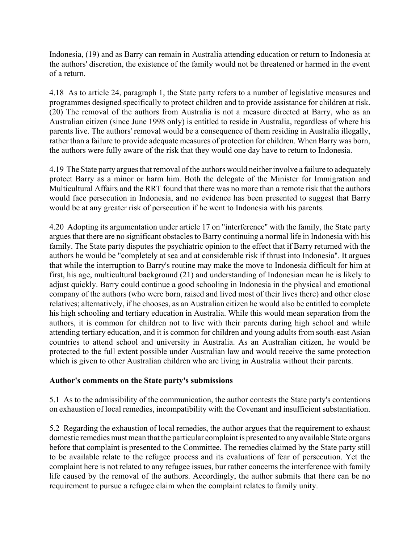Indonesia, (19) and as Barry can remain in Australia attending education or return to Indonesia at the authors' discretion, the existence of the family would not be threatened or harmed in the event of a return.

4.18 As to article 24, paragraph 1, the State party refers to a number of legislative measures and programmes designed specifically to protect children and to provide assistance for children at risk. (20) The removal of the authors from Australia is not a measure directed at Barry, who as an Australian citizen (since June 1998 only) is entitled to reside in Australia, regardless of where his parents live. The authors' removal would be a consequence of them residing in Australia illegally, rather than a failure to provide adequate measures of protection for children. When Barry was born, the authors were fully aware of the risk that they would one day have to return to Indonesia.

4.19 The State party argues that removal of the authors would neither involve a failure to adequately protect Barry as a minor or harm him. Both the delegate of the Minister for Immigration and Multicultural Affairs and the RRT found that there was no more than a remote risk that the authors would face persecution in Indonesia, and no evidence has been presented to suggest that Barry would be at any greater risk of persecution if he went to Indonesia with his parents.

4.20 Adopting its argumentation under article 17 on "interference" with the family, the State party argues that there are no significant obstacles to Barry continuing a normal life in Indonesia with his family. The State party disputes the psychiatric opinion to the effect that if Barry returned with the authors he would be "completely at sea and at considerable risk if thrust into Indonesia". It argues that while the interruption to Barry's routine may make the move to Indonesia difficult for him at first, his age, multicultural background (21) and understanding of Indonesian mean he is likely to adjust quickly. Barry could continue a good schooling in Indonesia in the physical and emotional company of the authors (who were born, raised and lived most of their lives there) and other close relatives; alternatively, if he chooses, as an Australian citizen he would also be entitled to complete his high schooling and tertiary education in Australia. While this would mean separation from the authors, it is common for children not to live with their parents during high school and while attending tertiary education, and it is common for children and young adults from south-east Asian countries to attend school and university in Australia. As an Australian citizen, he would be protected to the full extent possible under Australian law and would receive the same protection which is given to other Australian children who are living in Australia without their parents.

#### **Author's comments on the State party's submissions**

5.1 As to the admissibility of the communication, the author contests the State party's contentions on exhaustion of local remedies, incompatibility with the Covenant and insufficient substantiation.

5.2 Regarding the exhaustion of local remedies, the author argues that the requirement to exhaust domestic remedies must mean that the particular complaint is presented to any available State organs before that complaint is presented to the Committee. The remedies claimed by the State party still to be available relate to the refugee process and its evaluations of fear of persecution. Yet the complaint here is not related to any refugee issues, bur rather concerns the interference with family life caused by the removal of the authors. Accordingly, the author submits that there can be no requirement to pursue a refugee claim when the complaint relates to family unity.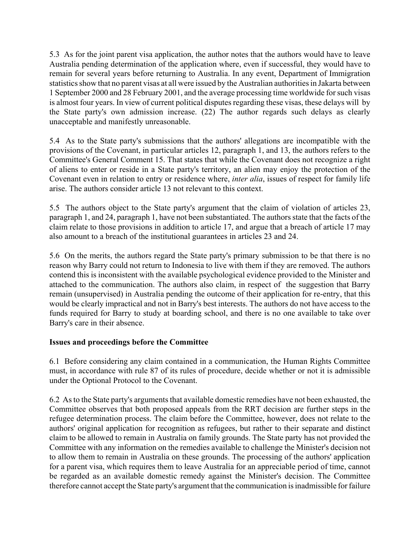5.3 As for the joint parent visa application, the author notes that the authors would have to leave Australia pending determination of the application where, even if successful, they would have to remain for several years before returning to Australia. In any event, Department of Immigration statistics show that no parent visas at all were issued by the Australian authorities in Jakarta between 1 September 2000 and 28 February 2001, and the average processing time worldwide for such visas is almost four years. In view of current political disputes regarding these visas, these delays will by the State party's own admission increase. (22) The author regards such delays as clearly unacceptable and manifestly unreasonable.

5.4 As to the State party's submissions that the authors' allegations are incompatible with the provisions of the Covenant, in particular articles 12, paragraph 1, and 13, the authors refers to the Committee's General Comment 15. That states that while the Covenant does not recognize a right of aliens to enter or reside in a State party's territory, an alien may enjoy the protection of the Covenant even in relation to entry or residence where, *inter alia*, issues of respect for family life arise. The authors consider article 13 not relevant to this context.

5.5 The authors object to the State party's argument that the claim of violation of articles 23, paragraph 1, and 24, paragraph 1, have not been substantiated. The authors state that the facts of the claim relate to those provisions in addition to article 17, and argue that a breach of article 17 may also amount to a breach of the institutional guarantees in articles 23 and 24.

5.6 On the merits, the authors regard the State party's primary submission to be that there is no reason why Barry could not return to Indonesia to live with them if they are removed. The authors contend this is inconsistent with the available psychological evidence provided to the Minister and attached to the communication. The authors also claim, in respect of the suggestion that Barry remain (unsupervised) in Australia pending the outcome of their application for re-entry, that this would be clearly impractical and not in Barry's best interests. The authors do not have access to the funds required for Barry to study at boarding school, and there is no one available to take over Barry's care in their absence.

### **Issues and proceedings before the Committee**

6.1 Before considering any claim contained in a communication, the Human Rights Committee must, in accordance with rule 87 of its rules of procedure, decide whether or not it is admissible under the Optional Protocol to the Covenant.

6.2 As to the State party's arguments that available domestic remedies have not been exhausted, the Committee observes that both proposed appeals from the RRT decision are further steps in the refugee determination process. The claim before the Committee, however, does not relate to the authors' original application for recognition as refugees, but rather to their separate and distinct claim to be allowed to remain in Australia on family grounds. The State party has not provided the Committee with any information on the remedies available to challenge the Minister's decision not to allow them to remain in Australia on these grounds. The processing of the authors' application for a parent visa, which requires them to leave Australia for an appreciable period of time, cannot be regarded as an available domestic remedy against the Minister's decision. The Committee therefore cannot accept the State party's argument that the communication is inadmissible for failure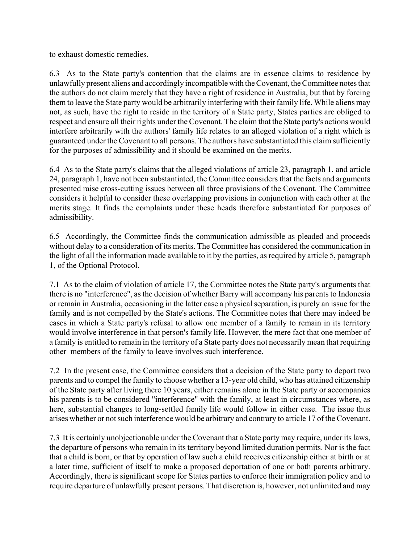to exhaust domestic remedies.

6.3 As to the State party's contention that the claims are in essence claims to residence by unlawfully present aliens and accordingly incompatible with the Covenant, the Committee notes that the authors do not claim merely that they have a right of residence in Australia, but that by forcing them to leave the State party would be arbitrarily interfering with their family life. While aliens may not, as such, have the right to reside in the territory of a State party, States parties are obliged to respect and ensure all their rights under the Covenant. The claim that the State party's actions would interfere arbitrarily with the authors' family life relates to an alleged violation of a right which is guaranteed under the Covenant to all persons. The authors have substantiated this claim sufficiently for the purposes of admissibility and it should be examined on the merits.

6.4 As to the State party's claims that the alleged violations of article 23, paragraph 1, and article 24, paragraph 1, have not been substantiated, the Committee considers that the facts and arguments presented raise cross-cutting issues between all three provisions of the Covenant. The Committee considers it helpful to consider these overlapping provisions in conjunction with each other at the merits stage. It finds the complaints under these heads therefore substantiated for purposes of admissibility.

6.5 Accordingly, the Committee finds the communication admissible as pleaded and proceeds without delay to a consideration of its merits. The Committee has considered the communication in the light of all the information made available to it by the parties, as required by article 5, paragraph 1, of the Optional Protocol.

7.1 As to the claim of violation of article 17, the Committee notes the State party's arguments that there is no "interference", as the decision of whether Barry will accompany his parents to Indonesia or remain in Australia, occasioning in the latter case a physical separation, is purely an issue for the family and is not compelled by the State's actions. The Committee notes that there may indeed be cases in which a State party's refusal to allow one member of a family to remain in its territory would involve interference in that person's family life. However, the mere fact that one member of a family is entitled to remain in the territory of a State party does not necessarily mean that requiring other members of the family to leave involves such interference.

7.2 In the present case, the Committee considers that a decision of the State party to deport two parents and to compel the family to choose whether a 13-year old child, who has attained citizenship of the State party after living there 10 years, either remains alone in the State party or accompanies his parents is to be considered "interference" with the family, at least in circumstances where, as here, substantial changes to long-settled family life would follow in either case. The issue thus arises whether or not such interference would be arbitrary and contrary to article 17 of the Covenant.

7.3 It is certainly unobjectionable under the Covenant that a State party may require, under its laws, the departure of persons who remain in its territory beyond limited duration permits. Nor is the fact that a child is born, or that by operation of law such a child receives citizenship either at birth or at a later time, sufficient of itself to make a proposed deportation of one or both parents arbitrary. Accordingly, there is significant scope for States parties to enforce their immigration policy and to require departure of unlawfully present persons. That discretion is, however, not unlimited and may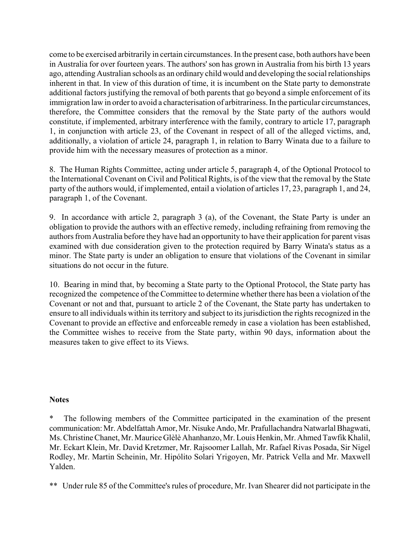come to be exercised arbitrarily in certain circumstances. In the present case, both authors have been in Australia for over fourteen years. The authors' son has grown in Australia from his birth 13 years ago, attending Australian schools as an ordinary child would and developing the social relationships inherent in that. In view of this duration of time, it is incumbent on the State party to demonstrate additional factors justifying the removal of both parents that go beyond a simple enforcement of its immigration law in order to avoid a characterisation of arbitrariness. In the particular circumstances, therefore, the Committee considers that the removal by the State party of the authors would constitute, if implemented, arbitrary interference with the family, contrary to article 17, paragraph 1, in conjunction with article 23, of the Covenant in respect of all of the alleged victims, and, additionally, a violation of article 24, paragraph 1, in relation to Barry Winata due to a failure to provide him with the necessary measures of protection as a minor.

8. The Human Rights Committee, acting under article 5, paragraph 4, of the Optional Protocol to the International Covenant on Civil and Political Rights, is of the view that the removal by the State party of the authors would, if implemented, entail a violation of articles 17, 23, paragraph 1, and 24, paragraph 1, of the Covenant.

9. In accordance with article 2, paragraph 3 (a), of the Covenant, the State Party is under an obligation to provide the authors with an effective remedy, including refraining from removing the authors from Australia before they have had an opportunity to have their application for parent visas examined with due consideration given to the protection required by Barry Winata's status as a minor. The State party is under an obligation to ensure that violations of the Covenant in similar situations do not occur in the future.

10. Bearing in mind that, by becoming a State party to the Optional Protocol, the State party has recognized the competence of the Committee to determine whether there has been a violation of the Covenant or not and that, pursuant to article 2 of the Covenant, the State party has undertaken to ensure to all individuals within its territory and subject to its jurisdiction the rights recognized in the Covenant to provide an effective and enforceable remedy in case a violation has been established, the Committee wishes to receive from the State party, within 90 days, information about the measures taken to give effect to its Views.

#### **Notes**

The following members of the Committee participated in the examination of the present communication: Mr. Abdelfattah Amor, Mr. Nisuke Ando, Mr. Prafullachandra Natwarlal Bhagwati, Ms. Christine Chanet, Mr. Maurice Glèlè Ahanhanzo, Mr. Louis Henkin, Mr. Ahmed Tawfik Khalil, Mr. Eckart Klein, Mr. David Kretzmer, Mr. Rajsoomer Lallah, Mr. Rafael Rivas Posada, Sir Nigel Rodley, Mr. Martin Scheinin, Mr. Hipólito Solari Yrigoyen, Mr. Patrick Vella and Mr. Maxwell Yalden.

\*\* Under rule 85 of the Committee's rules of procedure, Mr. Ivan Shearer did not participate in the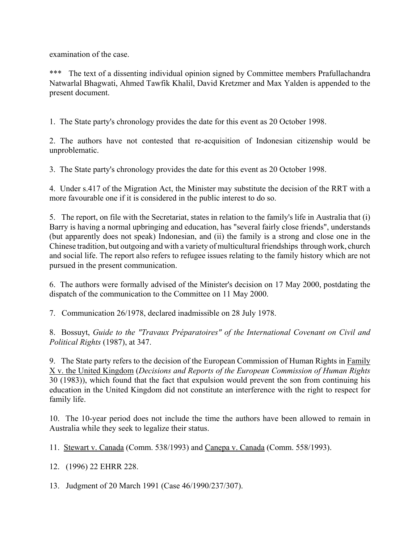examination of the case.

\*\*\* The text of a dissenting individual opinion signed by Committee members Prafullachandra Natwarlal Bhagwati, Ahmed Tawfik Khalil, David Kretzmer and Max Yalden is appended to the present document.

1. The State party's chronology provides the date for this event as 20 October 1998.

2. The authors have not contested that re-acquisition of Indonesian citizenship would be unproblematic.

3. The State party's chronology provides the date for this event as 20 October 1998.

4. Under s.417 of the Migration Act, the Minister may substitute the decision of the RRT with a more favourable one if it is considered in the public interest to do so.

5. The report, on file with the Secretariat, states in relation to the family's life in Australia that (i) Barry is having a normal upbringing and education, has "several fairly close friends", understands (but apparently does not speak) Indonesian, and (ii) the family is a strong and close one in the Chinese tradition, but outgoing and with a variety of multicultural friendships through work, church and social life. The report also refers to refugee issues relating to the family history which are not pursued in the present communication.

6. The authors were formally advised of the Minister's decision on 17 May 2000, postdating the dispatch of the communication to the Committee on 11 May 2000.

7. Communication 26/1978, declared inadmissible on 28 July 1978.

8. Bossuyt, *Guide to the "Travaux PrÈparatoires" of the International Covenant on Civil and Political Rights* (1987), at 347.

9. The State party refers to the decision of the European Commission of Human Rights in Family X v. the United Kingdom (*Decisions and Reports of the European Commission of Human Rights* 30 (1983)), which found that the fact that expulsion would prevent the son from continuing his education in the United Kingdom did not constitute an interference with the right to respect for family life.

10. The 10-year period does not include the time the authors have been allowed to remain in Australia while they seek to legalize their status.

11. Stewart v. Canada (Comm. 538/1993) and Canepa v. Canada (Comm. 558/1993).

12. (1996) 22 EHRR 228.

13. Judgment of 20 March 1991 (Case 46/1990/237/307).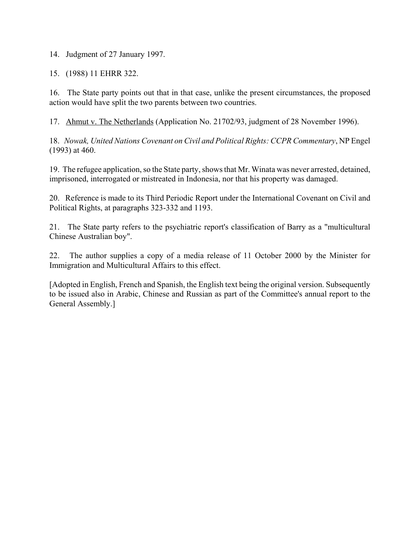14. Judgment of 27 January 1997.

15. (1988) 11 EHRR 322.

16. The State party points out that in that case, unlike the present circumstances, the proposed action would have split the two parents between two countries.

17. Ahmut v. The Netherlands (Application No. 21702/93, judgment of 28 November 1996).

18. *Nowak, United Nations Covenant on Civil and Political Rights: CCPR Commentary*, NP Engel (1993) at 460.

19. The refugee application, so the State party, shows that Mr. Winata was never arrested, detained, imprisoned, interrogated or mistreated in Indonesia, nor that his property was damaged.

20. Reference is made to its Third Periodic Report under the International Covenant on Civil and Political Rights, at paragraphs 323-332 and 1193.

21. The State party refers to the psychiatric report's classification of Barry as a "multicultural Chinese Australian boy".

22. The author supplies a copy of a media release of 11 October 2000 by the Minister for Immigration and Multicultural Affairs to this effect.

[Adopted in English, French and Spanish, the English text being the original version. Subsequently to be issued also in Arabic, Chinese and Russian as part of the Committee's annual report to the General Assembly.]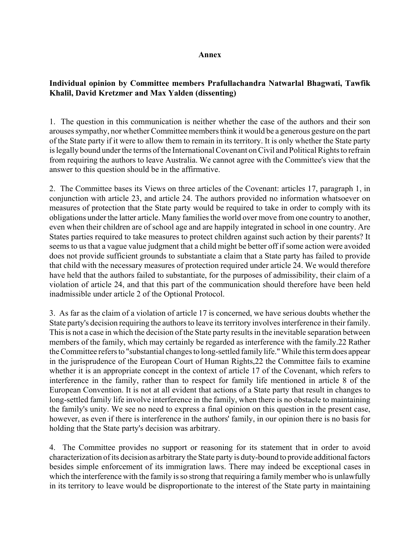#### **Annex**

## **Individual opinion by Committee members Prafullachandra Natwarlal Bhagwati, Tawfik Khalil, David Kretzmer and Max Yalden (dissenting)**

1. The question in this communication is neither whether the case of the authors and their son arouses sympathy, nor whether Committee members think it would be a generous gesture on the part of the State party if it were to allow them to remain in its territory. It is only whether the State party is legally bound under the terms of the International Covenant on Civil and Political Rights to refrain from requiring the authors to leave Australia. We cannot agree with the Committee's view that the answer to this question should be in the affirmative.

2. The Committee bases its Views on three articles of the Covenant: articles 17, paragraph 1, in conjunction with article 23, and article 24. The authors provided no information whatsoever on measures of protection that the State party would be required to take in order to comply with its obligations under the latter article. Many families the world over move from one country to another, even when their children are of school age and are happily integrated in school in one country. Are States parties required to take measures to protect children against such action by their parents? It seems to us that a vague value judgment that a child might be better off if some action were avoided does not provide sufficient grounds to substantiate a claim that a State party has failed to provide that child with the necessary measures of protection required under article 24. We would therefore have held that the authors failed to substantiate, for the purposes of admissibility, their claim of a violation of article 24, and that this part of the communication should therefore have been held inadmissible under article 2 of the Optional Protocol.

3. As far as the claim of a violation of article 17 is concerned, we have serious doubts whether the State party's decision requiring the authors to leave its territory involves interference in their family. This is not a case in which the decision of the State party results in the inevitable separation between members of the family, which may certainly be regarded as interference with the family.22 Rather the Committee refers to "substantial changes to long-settled family life." While this term does appear in the jurisprudence of the European Court of Human Rights,22 the Committee fails to examine whether it is an appropriate concept in the context of article 17 of the Covenant, which refers to interference in the family, rather than to respect for family life mentioned in article 8 of the European Convention. It is not at all evident that actions of a State party that result in changes to long-settled family life involve interference in the family, when there is no obstacle to maintaining the family's unity. We see no need to express a final opinion on this question in the present case, however, as even if there is interference in the authors' family, in our opinion there is no basis for holding that the State party's decision was arbitrary.

4. The Committee provides no support or reasoning for its statement that in order to avoid characterization of its decision as arbitrary the State party is duty-bound to provide additional factors besides simple enforcement of its immigration laws. There may indeed be exceptional cases in which the interference with the family is so strong that requiring a family member who is unlawfully in its territory to leave would be disproportionate to the interest of the State party in maintaining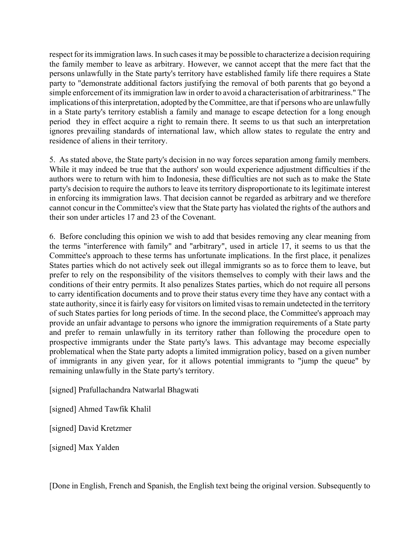respect for its immigration laws. In such cases it may be possible to characterize a decision requiring the family member to leave as arbitrary. However, we cannot accept that the mere fact that the persons unlawfully in the State party's territory have established family life there requires a State party to "demonstrate additional factors justifying the removal of both parents that go beyond a simple enforcement of its immigration law in order to avoid a characterisation of arbitrariness." The implications of this interpretation, adopted by the Committee, are that if persons who are unlawfully in a State party's territory establish a family and manage to escape detection for a long enough period they in effect acquire a right to remain there. It seems to us that such an interpretation ignores prevailing standards of international law, which allow states to regulate the entry and residence of aliens in their territory.

5. As stated above, the State party's decision in no way forces separation among family members. While it may indeed be true that the authors' son would experience adjustment difficulties if the authors were to return with him to Indonesia, these difficulties are not such as to make the State party's decision to require the authors to leave its territory disproportionate to its legitimate interest in enforcing its immigration laws. That decision cannot be regarded as arbitrary and we therefore cannot concur in the Committee's view that the State party has violated the rights of the authors and their son under articles 17 and 23 of the Covenant.

6. Before concluding this opinion we wish to add that besides removing any clear meaning from the terms "interference with family" and "arbitrary", used in article 17, it seems to us that the Committee's approach to these terms has unfortunate implications. In the first place, it penalizes States parties which do not actively seek out illegal immigrants so as to force them to leave, but prefer to rely on the responsibility of the visitors themselves to comply with their laws and the conditions of their entry permits. It also penalizes States parties, which do not require all persons to carry identification documents and to prove their status every time they have any contact with a state authority, since it is fairly easy for visitors on limited visas to remain undetected in the territory of such States parties for long periods of time. In the second place, the Committee's approach may provide an unfair advantage to persons who ignore the immigration requirements of a State party and prefer to remain unlawfully in its territory rather than following the procedure open to prospective immigrants under the State party's laws. This advantage may become especially problematical when the State party adopts a limited immigration policy, based on a given number of immigrants in any given year, for it allows potential immigrants to "jump the queue" by remaining unlawfully in the State party's territory.

[signed] Prafullachandra Natwarlal Bhagwati

[signed] Ahmed Tawfik Khalil

[signed] David Kretzmer

[signed] Max Yalden

[Done in English, French and Spanish, the English text being the original version. Subsequently to